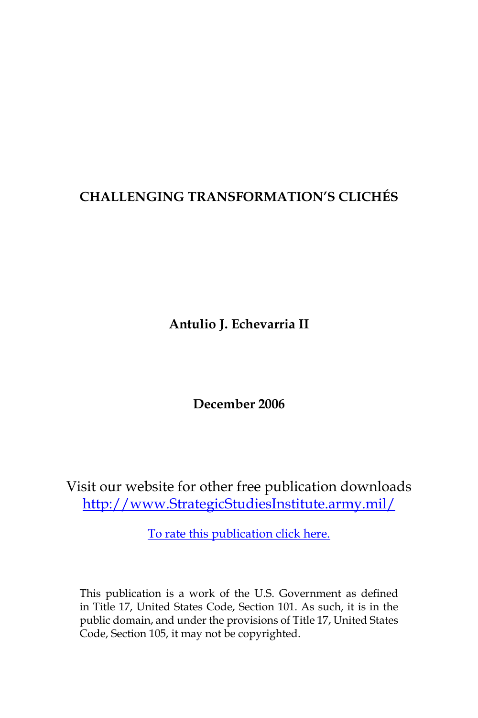# **CHALLENGING TRANSFORMATION'S CLICHÉS**

**Antulio J. Echevarria II**

**December 2006**

Visit our website for other free publication downloads [http://www.StrategicStudiesInstitute.army.mil/](http://www.StrategicStudiesInstitute.army.mil)

[To rate this publication click here.](http://www.strategicstudiesinstitute.army.mil/pubs/display.cfm?pubID=746)

This publication is a work of the U.S. Government as defined in Title 17, United States Code, Section 101. As such, it is in the public domain, and under the provisions of Title 17, United States Code, Section 105, it may not be copyrighted.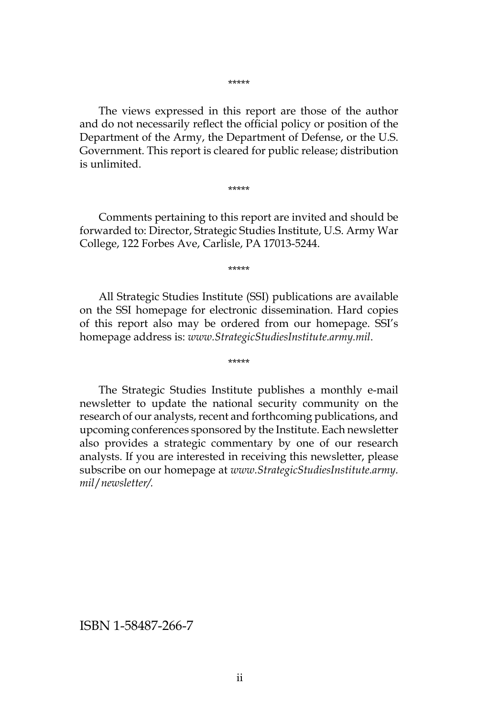\*\*\*\*\*

The views expressed in this report are those of the author and do not necessarily reflect the official policy or position of the Department of the Army, the Department of Defense, or the U.S. Government. This report is cleared for public release; distribution is unlimited.

\*\*\*\*\*

Comments pertaining to this report are invited and should be forwarded to: Director, Strategic Studies Institute, U.S. Army War College, 122 Forbes Ave, Carlisle, PA 17013-5244.

\*\*\*\*\*

All Strategic Studies Institute (SSI) publications are available on the SSI homepage for electronic dissemination. Hard copies of this report also may be ordered from our homepage. SSI's homepage address is: *www.StrategicStudiesInstitute.army.mil*.

\*\*\*\*\*

The Strategic Studies Institute publishes a monthly e-mail newsletter to update the national security community on the research of our analysts, recent and forthcoming publications, and upcoming conferences sponsored by the Institute. Each newsletter also provides a strategic commentary by one of our research analysts. If you are interested in receiving this newsletter, please subscribe on our homepage at *www.StrategicStudiesInstitute.army. mil*/*newsletter/.*

ISBN 1-58487-266-7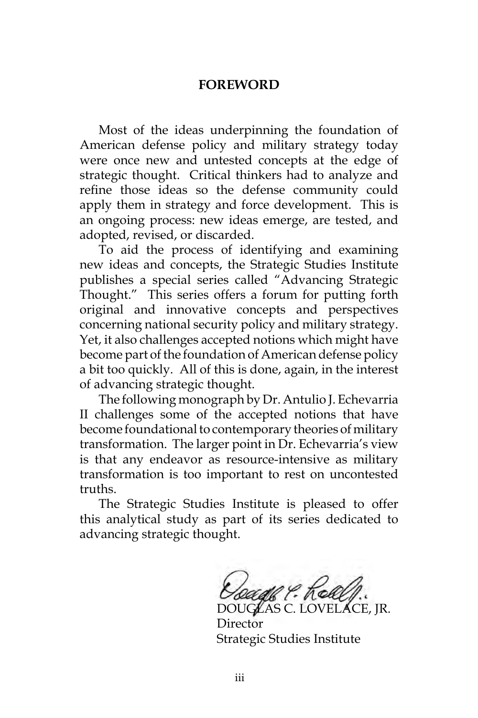#### **FOREWORD**

Most of the ideas underpinning the foundation of American defense policy and military strategy today were once new and untested concepts at the edge of strategic thought. Critical thinkers had to analyze and refine those ideas so the defense community could apply them in strategy and force development. This is an ongoing process: new ideas emerge, are tested, and adopted, revised, or discarded.

To aid the process of identifying and examining new ideas and concepts, the Strategic Studies Institute publishes a special series called "Advancing Strategic Thought." This series offers a forum for putting forth original and innovative concepts and perspectives concerning national security policy and military strategy. Yet, it also challenges accepted notions which might have become part of the foundation of American defense policy a bit too quickly. All of this is done, again, in the interest of advancing strategic thought.

The following monograph by Dr. Antulio J. Echevarria II challenges some of the accepted notions that have become foundational to contemporary theories of military transformation. The larger point in Dr. Echevarria's view is that any endeavor as resource-intensive as military transformation is too important to rest on uncontested truths.

The Strategic Studies Institute is pleased to offer this analytical study as part of its series dedicated to advancing strategic thought.

DOUGLAS C. LOVELACE, JR.

**Director** Strategic Studies Institute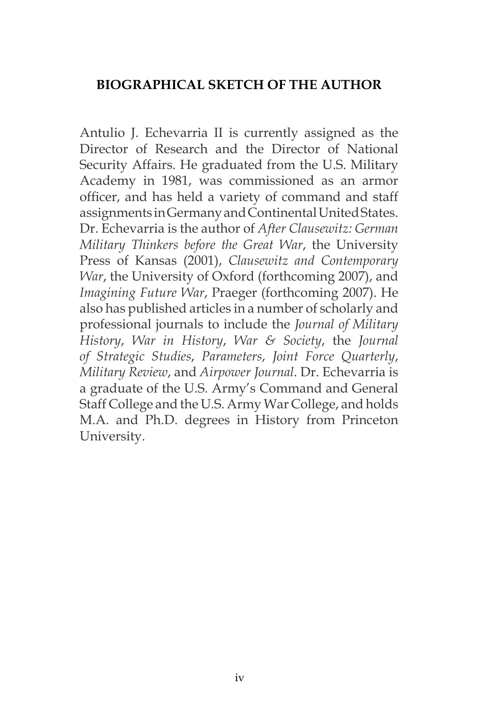# **BIOGRAPHICAL SKETCH OF THE AUTHOR**

Antulio J. Echevarria II is currently assigned as the Director of Research and the Director of National Security Affairs. He graduated from the U.S. Military Academy in 1981, was commissioned as an armor officer, and has held a variety of command and staff assignments in Germany and Continental United States. Dr. Echevarria is the author of *After Clausewitz: German Military Thinkers before the Great War*, the University Press of Kansas (2001), *Clausewitz and Contemporary War*, the University of Oxford (forthcoming 2007), and *Imagining Future War*, Praeger (forthcoming 2007). He also has published articles in a number of scholarly and professional journals to include the *Journal of Military History*, *War in History*, *War & Society*, the *Journal of Strategic Studies*, *Parameters*, *Joint Force Quarterly*, *Military Review*, and *Airpower Journal*. Dr. Echevarria is a graduate of the U.S. Army's Command and General Staff College and the U.S. Army War College, and holds M.A. and Ph.D. degrees in History from Princeton University.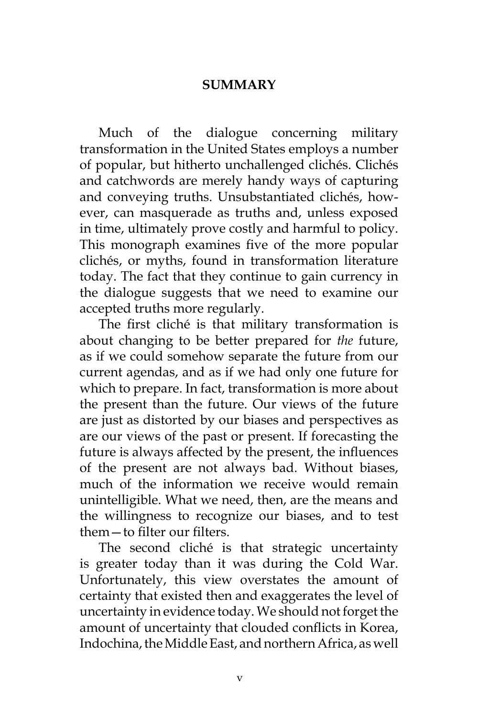## **SUMMARY**

Much of the dialogue concerning military transformation in the United States employs a number of popular, but hitherto unchallenged clichés. Clichés and catchwords are merely handy ways of capturing and conveying truths. Unsubstantiated clichés, however, can masquerade as truths and, unless exposed in time, ultimately prove costly and harmful to policy. This monograph examines five of the more popular clichés, or myths, found in transformation literature today. The fact that they continue to gain currency in the dialogue suggests that we need to examine our accepted truths more regularly.

The first cliché is that military transformation is about changing to be better prepared for *the* future, as if we could somehow separate the future from our current agendas, and as if we had only one future for which to prepare. In fact, transformation is more about the present than the future. Our views of the future are just as distorted by our biases and perspectives as are our views of the past or present. If forecasting the future is always affected by the present, the influences of the present are not always bad. Without biases, much of the information we receive would remain unintelligible. What we need, then, are the means and the willingness to recognize our biases, and to test them—to filter our filters.

The second cliché is that strategic uncertainty is greater today than it was during the Cold War. Unfortunately, this view overstates the amount of certainty that existed then and exaggerates the level of uncertainty in evidence today. We should not forget the amount of uncertainty that clouded conflicts in Korea, Indochina, the Middle East, and northern Africa, as well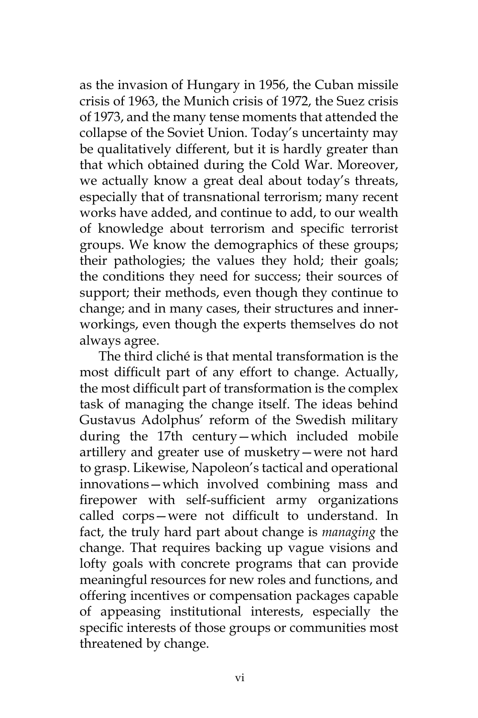as the invasion of Hungary in 1956, the Cuban missile crisis of 1963, the Munich crisis of 1972, the Suez crisis of 1973, and the many tense moments that attended the collapse of the Soviet Union. Today's uncertainty may be qualitatively different, but it is hardly greater than that which obtained during the Cold War. Moreover, we actually know a great deal about today's threats, especially that of transnational terrorism; many recent works have added, and continue to add, to our wealth of knowledge about terrorism and specific terrorist groups. We know the demographics of these groups; their pathologies; the values they hold; their goals; the conditions they need for success; their sources of support; their methods, even though they continue to change; and in many cases, their structures and innerworkings, even though the experts themselves do not always agree.

The third cliché is that mental transformation is the most difficult part of any effort to change. Actually, the most difficult part of transformation is the complex task of managing the change itself. The ideas behind Gustavus Adolphus' reform of the Swedish military during the 17th century—which included mobile artillery and greater use of musketry—were not hard to grasp. Likewise, Napoleon's tactical and operational innovations—which involved combining mass and firepower with self-sufficient army organizations called corps—were not difficult to understand. In fact, the truly hard part about change is *managing* the change. That requires backing up vague visions and lofty goals with concrete programs that can provide meaningful resources for new roles and functions, and offering incentives or compensation packages capable of appeasing institutional interests, especially the specific interests of those groups or communities most threatened by change.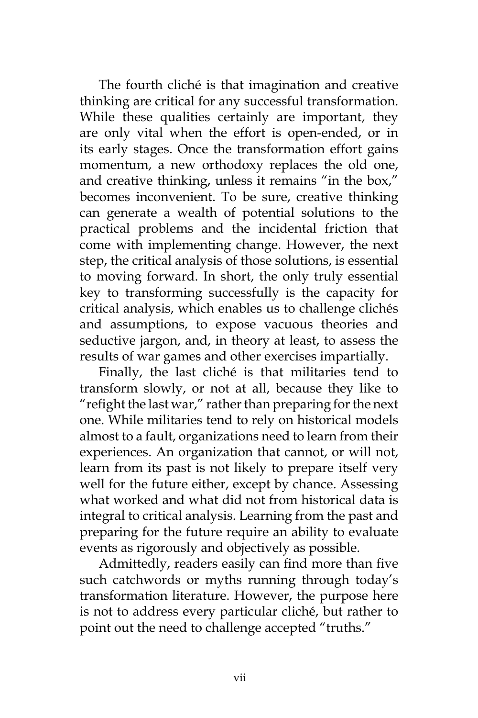The fourth cliché is that imagination and creative thinking are critical for any successful transformation. While these qualities certainly are important, they are only vital when the effort is open-ended, or in its early stages. Once the transformation effort gains momentum, a new orthodoxy replaces the old one, and creative thinking, unless it remains "in the box," becomes inconvenient. To be sure, creative thinking can generate a wealth of potential solutions to the practical problems and the incidental friction that come with implementing change. However, the next step, the critical analysis of those solutions, is essential to moving forward. In short, the only truly essential key to transforming successfully is the capacity for critical analysis, which enables us to challenge clichés and assumptions, to expose vacuous theories and seductive jargon, and, in theory at least, to assess the results of war games and other exercises impartially.

Finally, the last cliché is that militaries tend to transform slowly, or not at all, because they like to "refight the last war," rather than preparing for the next one. While militaries tend to rely on historical models almost to a fault, organizations need to learn from their experiences. An organization that cannot, or will not, learn from its past is not likely to prepare itself very well for the future either, except by chance. Assessing what worked and what did not from historical data is integral to critical analysis. Learning from the past and preparing for the future require an ability to evaluate events as rigorously and objectively as possible.

Admittedly, readers easily can find more than five such catchwords or myths running through today's transformation literature. However, the purpose here is not to address every particular cliché, but rather to point out the need to challenge accepted "truths."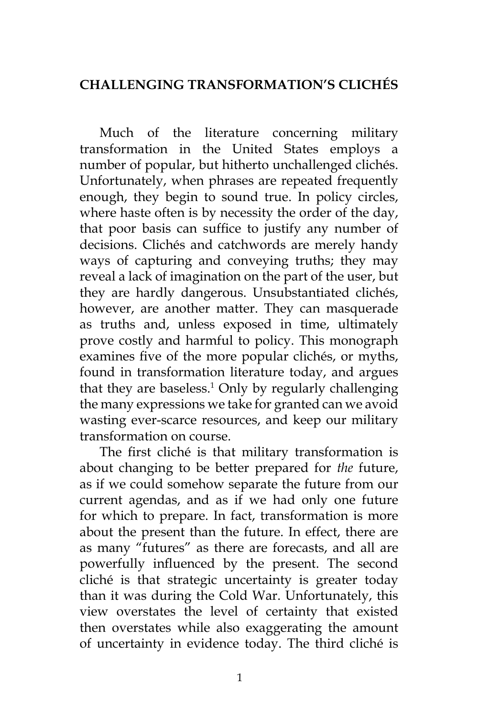# **Challenging Transformation's Clichés**

Much of the literature concerning military transformation in the United States employs a number of popular, but hitherto unchallenged clichés. Unfortunately, when phrases are repeated frequently enough, they begin to sound true. In policy circles, where haste often is by necessity the order of the day, that poor basis can suffice to justify any number of decisions. Clichés and catchwords are merely handy ways of capturing and conveying truths; they may reveal a lack of imagination on the part of the user, but they are hardly dangerous. Unsubstantiated clichés, however, are another matter. They can masquerade as truths and, unless exposed in time, ultimately prove costly and harmful to policy. This monograph examines five of the more popular clichés, or myths, found in transformation literature today, and argues that they are baseless.<sup>1</sup> Only by regularly challenging the many expressions we take for granted can we avoid wasting ever-scarce resources, and keep our military transformation on course.

The first cliché is that military transformation is about changing to be better prepared for *the* future, as if we could somehow separate the future from our current agendas, and as if we had only one future for which to prepare. In fact, transformation is more about the present than the future. In effect, there are as many "futures" as there are forecasts, and all are powerfully influenced by the present. The second cliché is that strategic uncertainty is greater today than it was during the Cold War. Unfortunately, this view overstates the level of certainty that existed then overstates while also exaggerating the amount of uncertainty in evidence today. The third cliché is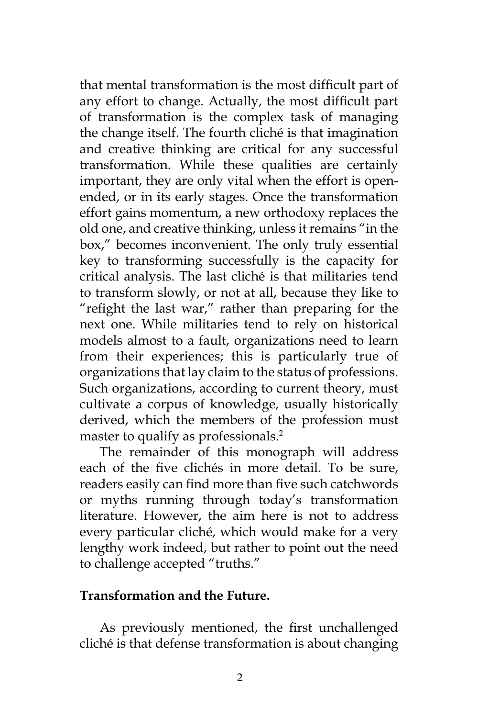that mental transformation is the most difficult part of any effort to change. Actually, the most difficult part of transformation is the complex task of managing the change itself. The fourth cliché is that imagination and creative thinking are critical for any successful transformation. While these qualities are certainly important, they are only vital when the effort is openended, or in its early stages. Once the transformation effort gains momentum, a new orthodoxy replaces the old one, and creative thinking, unless it remains "in the box," becomes inconvenient. The only truly essential key to transforming successfully is the capacity for critical analysis. The last cliché is that militaries tend to transform slowly, or not at all, because they like to "refight the last war," rather than preparing for the next one. While militaries tend to rely on historical models almost to a fault, organizations need to learn from their experiences; this is particularly true of organizations that lay claim to the status of professions. Such organizations, according to current theory, must cultivate a corpus of knowledge, usually historically derived, which the members of the profession must master to qualify as professionals.<sup>2</sup>

The remainder of this monograph will address each of the five clichés in more detail. To be sure, readers easily can find more than five such catchwords or myths running through today's transformation literature. However, the aim here is not to address every particular cliché, which would make for a very lengthy work indeed, but rather to point out the need to challenge accepted "truths."

## **Transformation and the Future.**

As previously mentioned, the first unchallenged cliché is that defense transformation is about changing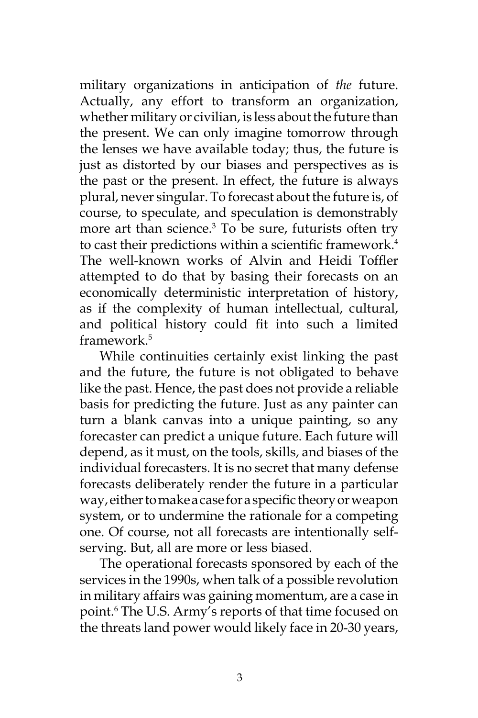military organizations in anticipation of *the* future. Actually, any effort to transform an organization, whether military or civilian, is less about the future than the present. We can only imagine tomorrow through the lenses we have available today; thus, the future is just as distorted by our biases and perspectives as is the past or the present. In effect, the future is always plural, never singular. To forecast about the future is, of course, to speculate, and speculation is demonstrably more art than science.<sup>3</sup> To be sure, futurists often try to cast their predictions within a scientific framework.<sup>4</sup> The well-known works of Alvin and Heidi Toffler attempted to do that by basing their forecasts on an economically deterministic interpretation of history, as if the complexity of human intellectual, cultural, and political history could fit into such a limited framework.5

While continuities certainly exist linking the past and the future, the future is not obligated to behave like the past. Hence, the past does not provide a reliable basis for predicting the future. Just as any painter can turn a blank canvas into a unique painting, so any forecaster can predict a unique future. Each future will depend, as it must, on the tools, skills, and biases of the individual forecasters. It is no secret that many defense forecasts deliberately render the future in a particular way, either to make a case for a specific theory or weapon system, or to undermine the rationale for a competing one. Of course, not all forecasts are intentionally selfserving. But, all are more or less biased.

The operational forecasts sponsored by each of the services in the 1990s, when talk of a possible revolution in military affairs was gaining momentum, are a case in point.6 The U.S. Army's reports of that time focused on the threats land power would likely face in 20-30 years,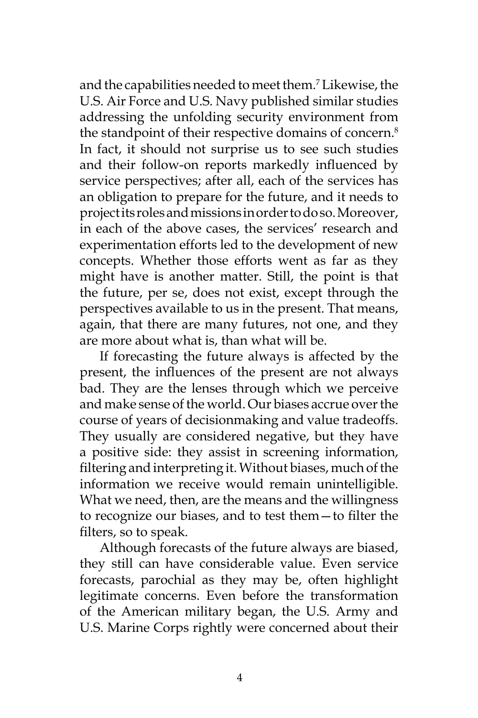and the capabilities needed to meet them.7 Likewise, the U.S. Air Force and U.S. Navy published similar studies addressing the unfolding security environment from the standpoint of their respective domains of concern.<sup>8</sup> In fact, it should not surprise us to see such studies and their follow-on reports markedly influenced by service perspectives; after all, each of the services has an obligation to prepare for the future, and it needs to project its roles and missions in order to do so. Moreover, in each of the above cases, the services' research and experimentation efforts led to the development of new concepts. Whether those efforts went as far as they might have is another matter. Still, the point is that the future, per se, does not exist, except through the perspectives available to us in the present. That means, again, that there are many futures, not one, and they are more about what is, than what will be.

If forecasting the future always is affected by the present, the influences of the present are not always bad. They are the lenses through which we perceive and make sense of the world. Our biases accrue over the course of years of decisionmaking and value tradeoffs. They usually are considered negative, but they have a positive side: they assist in screening information, filtering and interpreting it. Without biases, much of the information we receive would remain unintelligible. What we need, then, are the means and the willingness to recognize our biases, and to test them—to filter the filters, so to speak.

Although forecasts of the future always are biased, they still can have considerable value. Even service forecasts, parochial as they may be, often highlight legitimate concerns. Even before the transformation of the American military began, the U.S. Army and U.S. Marine Corps rightly were concerned about their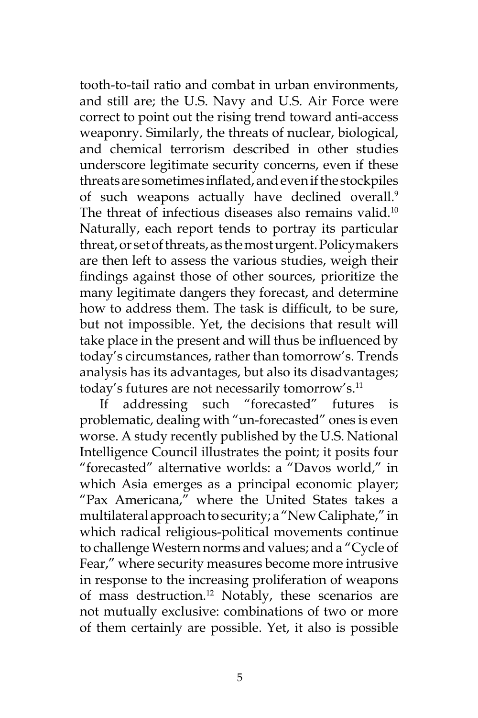tooth-to-tail ratio and combat in urban environments, and still are; the U.S. Navy and U.S. Air Force were correct to point out the rising trend toward anti-access weaponry. Similarly, the threats of nuclear, biological, and chemical terrorism described in other studies underscore legitimate security concerns, even if these threats are sometimes inflated, and even if the stockpiles of such weapons actually have declined overall.<sup>9</sup> The threat of infectious diseases also remains valid.<sup>10</sup> Naturally, each report tends to portray its particular threat, or set of threats, as the most urgent. Policymakers are then left to assess the various studies, weigh their findings against those of other sources, prioritize the many legitimate dangers they forecast, and determine how to address them. The task is difficult, to be sure, but not impossible. Yet, the decisions that result will take place in the present and will thus be influenced by today's circumstances, rather than tomorrow's. Trends analysis has its advantages, but also its disadvantages; today's futures are not necessarily tomorrow's.<sup>11</sup>

If addressing such "forecasted" futures is problematic, dealing with "un-forecasted" ones is even worse. A study recently published by the U.S. National Intelligence Council illustrates the point; it posits four "forecasted" alternative worlds: a "Davos world," in which Asia emerges as a principal economic player; "Pax Americana," where the United States takes a multilateral approach to security; a "New Caliphate," in which radical religious-political movements continue to challenge Western norms and values; and a "Cycle of Fear," where security measures become more intrusive in response to the increasing proliferation of weapons of mass destruction.<sup>12</sup> Notably, these scenarios are not mutually exclusive: combinations of two or more of them certainly are possible. Yet, it also is possible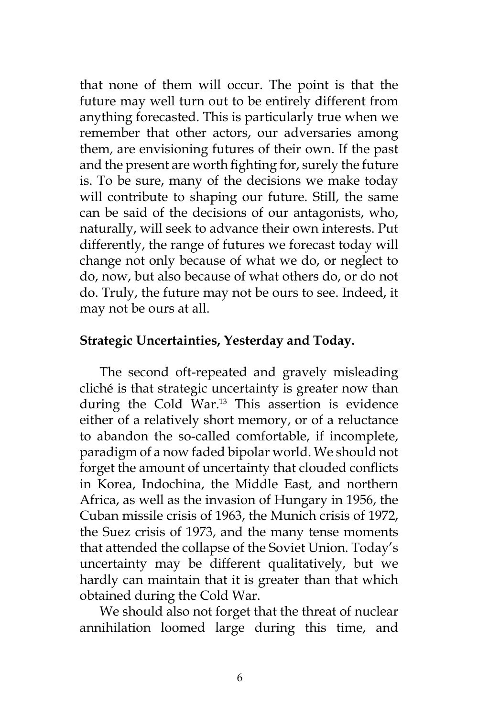that none of them will occur. The point is that the future may well turn out to be entirely different from anything forecasted. This is particularly true when we remember that other actors, our adversaries among them, are envisioning futures of their own. If the past and the present are worth fighting for, surely the future is. To be sure, many of the decisions we make today will contribute to shaping our future. Still, the same can be said of the decisions of our antagonists, who, naturally, will seek to advance their own interests. Put differently, the range of futures we forecast today will change not only because of what we do, or neglect to do, now, but also because of what others do, or do not do. Truly, the future may not be ours to see. Indeed, it may not be ours at all.

## **Strategic Uncertainties, Yesterday and Today.**

The second oft-repeated and gravely misleading cliché is that strategic uncertainty is greater now than during the Cold War.<sup>13</sup> This assertion is evidence either of a relatively short memory, or of a reluctance to abandon the so-called comfortable, if incomplete, paradigm of a now faded bipolar world. We should not forget the amount of uncertainty that clouded conflicts in Korea, Indochina, the Middle East, and northern Africa, as well as the invasion of Hungary in 1956, the Cuban missile crisis of 1963, the Munich crisis of 1972, the Suez crisis of 1973, and the many tense moments that attended the collapse of the Soviet Union. Today's uncertainty may be different qualitatively, but we hardly can maintain that it is greater than that which obtained during the Cold War.

We should also not forget that the threat of nuclear annihilation loomed large during this time, and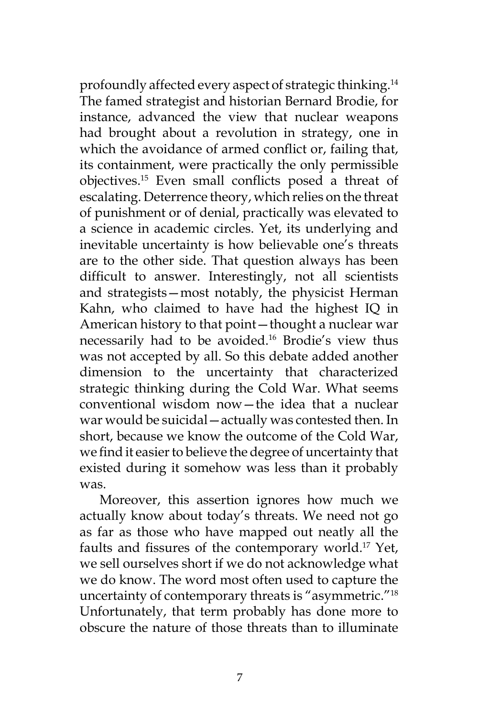profoundly affected every aspect of strategic thinking.14 The famed strategist and historian Bernard Brodie, for instance, advanced the view that nuclear weapons had brought about a revolution in strategy, one in which the avoidance of armed conflict or, failing that, its containment, were practically the only permissible objectives.15 Even small conflicts posed a threat of escalating. Deterrence theory, which relies on the threat of punishment or of denial, practically was elevated to a science in academic circles. Yet, its underlying and inevitable uncertainty is how believable one's threats are to the other side. That question always has been difficult to answer. Interestingly, not all scientists and strategists—most notably, the physicist Herman Kahn, who claimed to have had the highest IQ in American history to that point—thought a nuclear war necessarily had to be avoided.16 Brodie's view thus was not accepted by all. So this debate added another dimension to the uncertainty that characterized strategic thinking during the Cold War. What seems conventional wisdom now—the idea that a nuclear war would be suicidal—actually was contested then. In short, because we know the outcome of the Cold War, we find it easier to believe the degree of uncertainty that existed during it somehow was less than it probably was.

Moreover, this assertion ignores how much we actually know about today's threats. We need not go as far as those who have mapped out neatly all the faults and fissures of the contemporary world.17 Yet, we sell ourselves short if we do not acknowledge what we do know. The word most often used to capture the uncertainty of contemporary threats is "asymmetric."18 Unfortunately, that term probably has done more to obscure the nature of those threats than to illuminate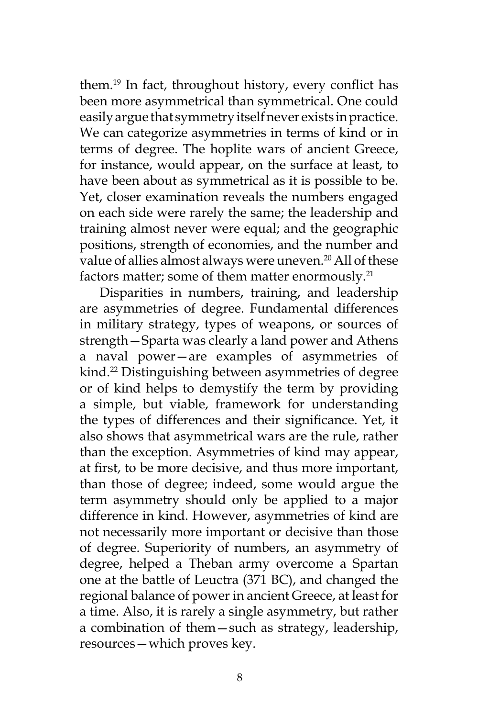them.19 In fact, throughout history, every conflict has been more asymmetrical than symmetrical. One could easily argue that symmetry itself never exists in practice. We can categorize asymmetries in terms of kind or in terms of degree. The hoplite wars of ancient Greece, for instance, would appear, on the surface at least, to have been about as symmetrical as it is possible to be. Yet, closer examination reveals the numbers engaged on each side were rarely the same; the leadership and training almost never were equal; and the geographic positions, strength of economies, and the number and value of allies almost always were uneven.<sup>20</sup> All of these factors matter; some of them matter enormously.<sup>21</sup>

Disparities in numbers, training, and leadership are asymmetries of degree. Fundamental differences in military strategy, types of weapons, or sources of strength—Sparta was clearly a land power and Athens a naval power—are examples of asymmetries of kind.22 Distinguishing between asymmetries of degree or of kind helps to demystify the term by providing a simple, but viable, framework for understanding the types of differences and their significance. Yet, it also shows that asymmetrical wars are the rule, rather than the exception. Asymmetries of kind may appear, at first, to be more decisive, and thus more important, than those of degree; indeed, some would argue the term asymmetry should only be applied to a major difference in kind. However, asymmetries of kind are not necessarily more important or decisive than those of degree. Superiority of numbers, an asymmetry of degree, helped a Theban army overcome a Spartan one at the battle of Leuctra (371 BC), and changed the regional balance of power in ancient Greece, at least for a time. Also, it is rarely a single asymmetry, but rather a combination of them—such as strategy, leadership, resources—which proves key.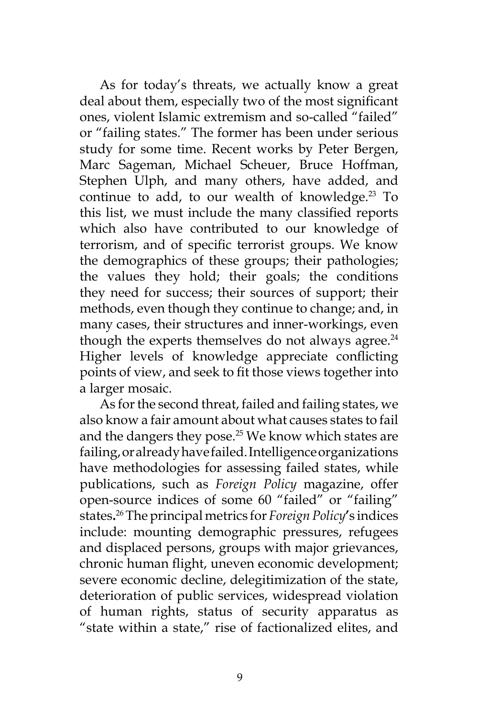As for today's threats, we actually know a great deal about them, especially two of the most significant ones, violent Islamic extremism and so-called "failed" or "failing states." The former has been under serious study for some time. Recent works by Peter Bergen, Marc Sageman, Michael Scheuer, Bruce Hoffman, Stephen Ulph, and many others, have added, and continue to add, to our wealth of knowledge. $23$  To this list, we must include the many classified reports which also have contributed to our knowledge of terrorism, and of specific terrorist groups. We know the demographics of these groups; their pathologies; the values they hold; their goals; the conditions they need for success; their sources of support; their methods, even though they continue to change; and, in many cases, their structures and inner-workings, even though the experts themselves do not always agree. $24$ Higher levels of knowledge appreciate conflicting points of view, and seek to fit those views together into a larger mosaic.

As for the second threat, failed and failing states, we also know a fair amount about what causes states to fail and the dangers they pose.<sup>25</sup> We know which states are failing, or already have failed. Intelligence organizations have methodologies for assessing failed states, while publications, such as *Foreign Policy* magazine, offer open-source indices of some 60 "failed" or "failing" states**.** 26 The principal metrics for *Foreign Policy***'**s indices include: mounting demographic pressures, refugees and displaced persons, groups with major grievances, chronic human flight, uneven economic development; severe economic decline, delegitimization of the state, deterioration of public services, widespread violation of human rights, status of security apparatus as "state within a state," rise of factionalized elites, and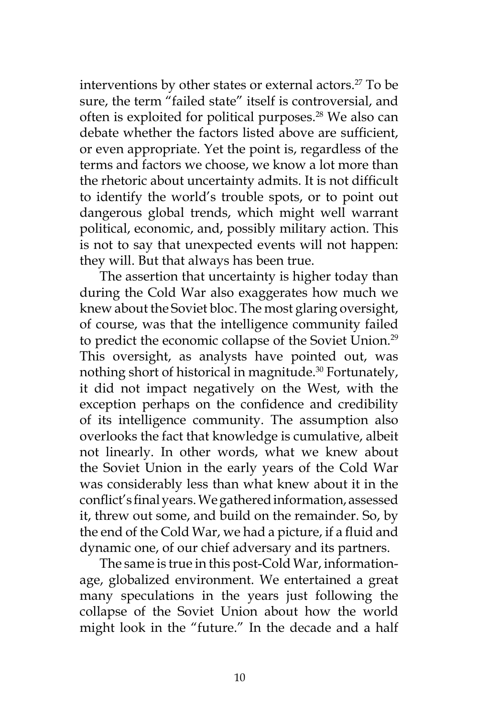interventions by other states or external actors.<sup>27</sup> To be sure, the term "failed state" itself is controversial, and often is exploited for political purposes.<sup>28</sup> We also can debate whether the factors listed above are sufficient, or even appropriate. Yet the point is, regardless of the terms and factors we choose, we know a lot more than the rhetoric about uncertainty admits. It is not difficult to identify the world's trouble spots, or to point out dangerous global trends, which might well warrant political, economic, and, possibly military action. This is not to say that unexpected events will not happen: they will. But that always has been true.

The assertion that uncertainty is higher today than during the Cold War also exaggerates how much we knew about the Soviet bloc. The most glaring oversight, of course, was that the intelligence community failed to predict the economic collapse of the Soviet Union.<sup>29</sup> This oversight, as analysts have pointed out, was nothing short of historical in magnitude.<sup>30</sup> Fortunately, it did not impact negatively on the West, with the exception perhaps on the confidence and credibility of its intelligence community. The assumption also overlooks the fact that knowledge is cumulative, albeit not linearly. In other words, what we knew about the Soviet Union in the early years of the Cold War was considerably less than what knew about it in the conflict's final years. We gathered information, assessed it, threw out some, and build on the remainder. So, by the end of the Cold War, we had a picture, if a fluid and dynamic one, of our chief adversary and its partners.

The same is true in this post-Cold War, informationage, globalized environment. We entertained a great many speculations in the years just following the collapse of the Soviet Union about how the world might look in the "future." In the decade and a half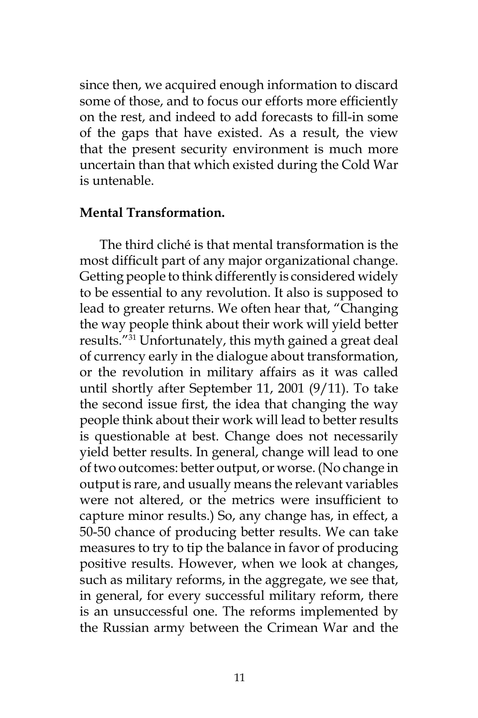since then, we acquired enough information to discard some of those, and to focus our efforts more efficiently on the rest, and indeed to add forecasts to fill-in some of the gaps that have existed. As a result, the view that the present security environment is much more uncertain than that which existed during the Cold War is untenable.

#### **Mental Transformation.**

The third cliché is that mental transformation is the most difficult part of any major organizational change. Getting people to think differently is considered widely to be essential to any revolution. It also is supposed to lead to greater returns. We often hear that, "Changing the way people think about their work will yield better results."31 Unfortunately, this myth gained a great deal of currency early in the dialogue about transformation, or the revolution in military affairs as it was called until shortly after September 11, 2001 (9/11). To take the second issue first, the idea that changing the way people think about their work will lead to better results is questionable at best. Change does not necessarily yield better results. In general, change will lead to one of two outcomes: better output, or worse. (No change in output is rare, and usually means the relevant variables were not altered, or the metrics were insufficient to capture minor results.) So, any change has, in effect, a 50-50 chance of producing better results. We can take measures to try to tip the balance in favor of producing positive results. However, when we look at changes, such as military reforms, in the aggregate, we see that, in general, for every successful military reform, there is an unsuccessful one. The reforms implemented by the Russian army between the Crimean War and the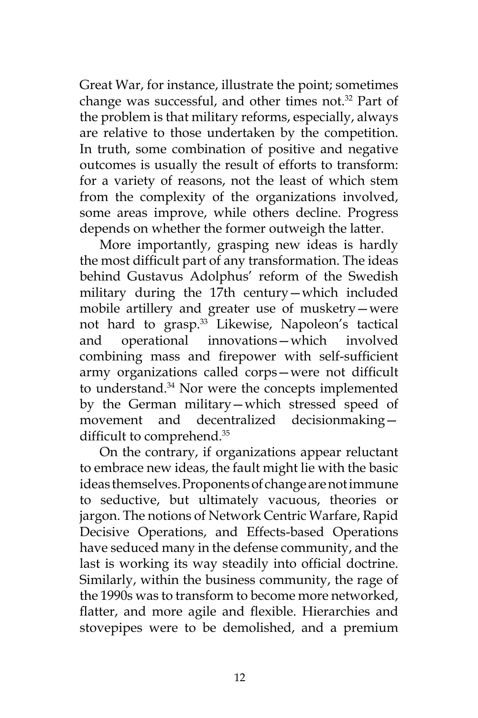Great War, for instance, illustrate the point; sometimes change was successful, and other times not.<sup>32</sup> Part of the problem is that military reforms, especially, always are relative to those undertaken by the competition. In truth, some combination of positive and negative outcomes is usually the result of efforts to transform: for a variety of reasons, not the least of which stem from the complexity of the organizations involved, some areas improve, while others decline. Progress depends on whether the former outweigh the latter.

More importantly, grasping new ideas is hardly the most difficult part of any transformation. The ideas behind Gustavus Adolphus' reform of the Swedish military during the 17th century—which included mobile artillery and greater use of musketry—were not hard to grasp.<sup>33</sup> Likewise, Napoleon's tactical and operational innovations—which involved combining mass and firepower with self-sufficient army organizations called corps—were not difficult to understand.<sup>34</sup> Nor were the concepts implemented by the German military—which stressed speed of movement and decentralized decisionmaking difficult to comprehend.<sup>35</sup>

On the contrary, if organizations appear reluctant to embrace new ideas, the fault might lie with the basic ideas themselves. Proponents of change are not immune to seductive, but ultimately vacuous, theories or jargon. The notions of Network Centric Warfare, Rapid Decisive Operations, and Effects-based Operations have seduced many in the defense community, and the last is working its way steadily into official doctrine. Similarly, within the business community, the rage of the 1990s was to transform to become more networked, flatter, and more agile and flexible. Hierarchies and stovepipes were to be demolished, and a premium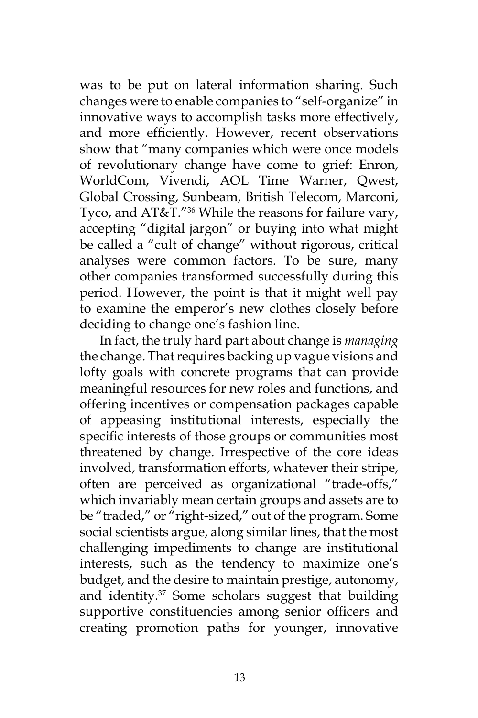was to be put on lateral information sharing. Such changes were to enable companies to "self-organize" in innovative ways to accomplish tasks more effectively, and more efficiently. However, recent observations show that "many companies which were once models of revolutionary change have come to grief: Enron, WorldCom, Vivendi, AOL Time Warner, Qwest, Global Crossing, Sunbeam, British Telecom, Marconi, Tyco, and AT&T."<sup>36</sup> While the reasons for failure vary, accepting "digital jargon" or buying into what might be called a "cult of change" without rigorous, critical analyses were common factors. To be sure, many other companies transformed successfully during this period. However, the point is that it might well pay to examine the emperor's new clothes closely before deciding to change one's fashion line.

In fact, the truly hard part about change is *managing* the change. That requires backing up vague visions and lofty goals with concrete programs that can provide meaningful resources for new roles and functions, and offering incentives or compensation packages capable of appeasing institutional interests, especially the specific interests of those groups or communities most threatened by change. Irrespective of the core ideas involved, transformation efforts, whatever their stripe, often are perceived as organizational "trade-offs," which invariably mean certain groups and assets are to be "traded," or "right-sized," out of the program. Some social scientists argue, along similar lines, that the most challenging impediments to change are institutional interests, such as the tendency to maximize one's budget, and the desire to maintain prestige, autonomy, and identity.37 Some scholars suggest that building supportive constituencies among senior officers and creating promotion paths for younger, innovative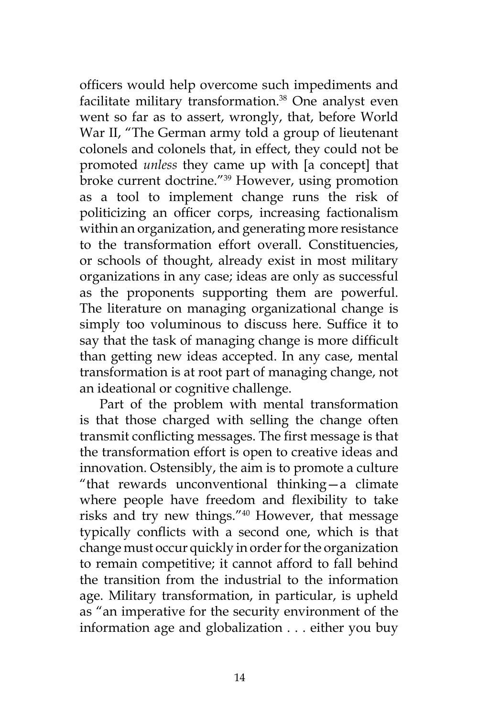officers would help overcome such impediments and facilitate military transformation.<sup>38</sup> One analyst even went so far as to assert, wrongly, that, before World War II, "The German army told a group of lieutenant colonels and colonels that, in effect, they could not be promoted *unless* they came up with [a concept] that broke current doctrine."39 However, using promotion as a tool to implement change runs the risk of politicizing an officer corps, increasing factionalism within an organization, and generating more resistance to the transformation effort overall. Constituencies, or schools of thought, already exist in most military organizations in any case; ideas are only as successful as the proponents supporting them are powerful. The literature on managing organizational change is simply too voluminous to discuss here. Suffice it to say that the task of managing change is more difficult than getting new ideas accepted. In any case, mental transformation is at root part of managing change, not an ideational or cognitive challenge.

Part of the problem with mental transformation is that those charged with selling the change often transmit conflicting messages. The first message is that the transformation effort is open to creative ideas and innovation. Ostensibly, the aim is to promote a culture "that rewards unconventional thinking—a climate where people have freedom and flexibility to take risks and try new things."40 However, that message typically conflicts with a second one, which is that change must occur quickly in order for the organization to remain competitive; it cannot afford to fall behind the transition from the industrial to the information age. Military transformation, in particular, is upheld as "an imperative for the security environment of the information age and globalization . . . either you buy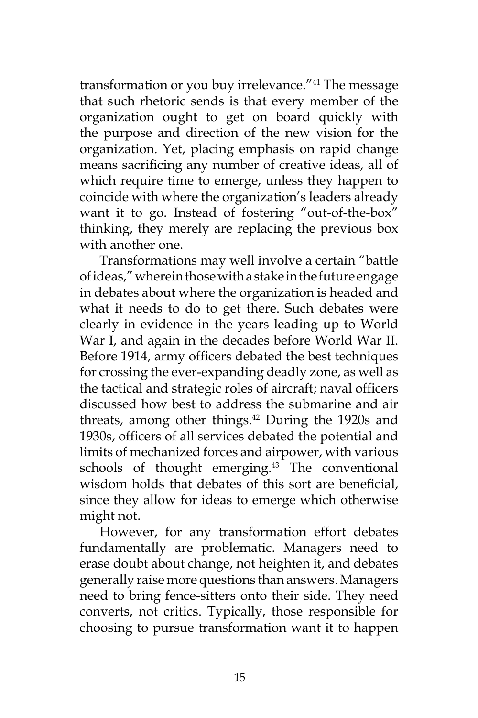transformation or you buy irrelevance."41 The message that such rhetoric sends is that every member of the organization ought to get on board quickly with the purpose and direction of the new vision for the organization. Yet, placing emphasis on rapid change means sacrificing any number of creative ideas, all of which require time to emerge, unless they happen to coincide with where the organization's leaders already want it to go. Instead of fostering "out-of-the-box" thinking, they merely are replacing the previous box with another one.

Transformations may well involve a certain "battle of ideas," wherein those with a stake in the future engage in debates about where the organization is headed and what it needs to do to get there. Such debates were clearly in evidence in the years leading up to World War I, and again in the decades before World War II. Before 1914, army officers debated the best techniques for crossing the ever-expanding deadly zone, as well as the tactical and strategic roles of aircraft; naval officers discussed how best to address the submarine and air threats, among other things.<sup>42</sup> During the 1920s and 1930s, officers of all services debated the potential and limits of mechanized forces and airpower, with various schools of thought emerging. $43$  The conventional wisdom holds that debates of this sort are beneficial, since they allow for ideas to emerge which otherwise might not.

However, for any transformation effort debates fundamentally are problematic. Managers need to erase doubt about change, not heighten it, and debates generally raise more questions than answers. Managers need to bring fence-sitters onto their side. They need converts, not critics. Typically, those responsible for choosing to pursue transformation want it to happen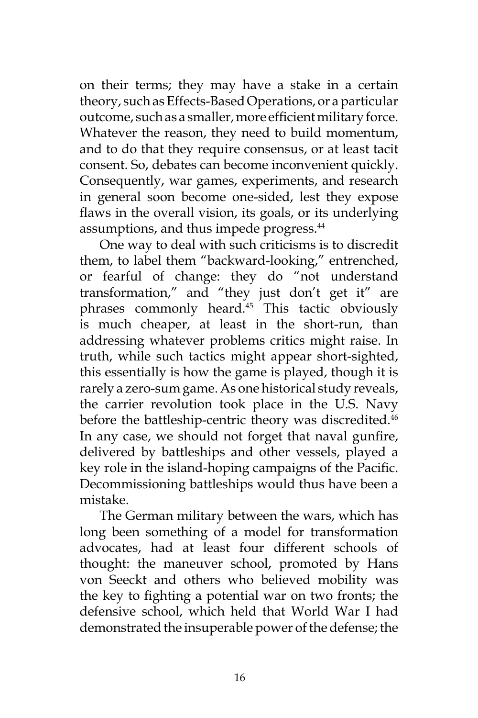on their terms; they may have a stake in a certain theory, such as Effects-Based Operations, or a particular outcome, such as a smaller, more efficient military force. Whatever the reason, they need to build momentum, and to do that they require consensus, or at least tacit consent. So, debates can become inconvenient quickly. Consequently, war games, experiments, and research in general soon become one-sided, lest they expose flaws in the overall vision, its goals, or its underlying assumptions, and thus impede progress.<sup>44</sup>

One way to deal with such criticisms is to discredit them, to label them "backward-looking," entrenched, or fearful of change: they do "not understand transformation," and "they just don't get it" are phrases commonly heard.<sup>45</sup> This tactic obviously is much cheaper, at least in the short-run, than addressing whatever problems critics might raise. In truth, while such tactics might appear short-sighted, this essentially is how the game is played, though it is rarely a zero-sum game. As one historical study reveals, the carrier revolution took place in the U.S. Navy before the battleship-centric theory was discredited.<sup>46</sup> In any case, we should not forget that naval gunfire, delivered by battleships and other vessels, played a key role in the island-hoping campaigns of the Pacific. Decommissioning battleships would thus have been a mistake.

The German military between the wars, which has long been something of a model for transformation advocates, had at least four different schools of thought: the maneuver school, promoted by Hans von Seeckt and others who believed mobility was the key to fighting a potential war on two fronts; the defensive school, which held that World War I had demonstrated the insuperable power of the defense; the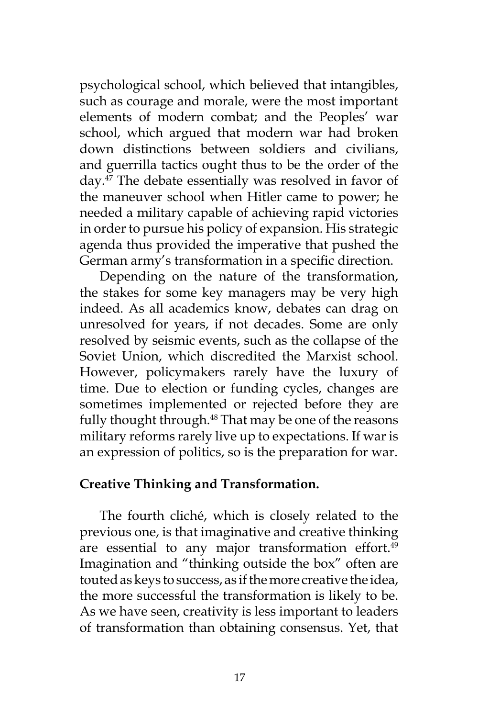psychological school, which believed that intangibles, such as courage and morale, were the most important elements of modern combat; and the Peoples' war school, which argued that modern war had broken down distinctions between soldiers and civilians, and guerrilla tactics ought thus to be the order of the day.47 The debate essentially was resolved in favor of the maneuver school when Hitler came to power; he needed a military capable of achieving rapid victories in order to pursue his policy of expansion. His strategic agenda thus provided the imperative that pushed the German army's transformation in a specific direction.

Depending on the nature of the transformation, the stakes for some key managers may be very high indeed. As all academics know, debates can drag on unresolved for years, if not decades. Some are only resolved by seismic events, such as the collapse of the Soviet Union, which discredited the Marxist school. However, policymakers rarely have the luxury of time. Due to election or funding cycles, changes are sometimes implemented or rejected before they are fully thought through.<sup>48</sup> That may be one of the reasons military reforms rarely live up to expectations. If war is an expression of politics, so is the preparation for war.

## **Creative Thinking and Transformation.**

The fourth cliché, which is closely related to the previous one, is that imaginative and creative thinking are essential to any major transformation effort.<sup>49</sup> Imagination and "thinking outside the box" often are touted as keys to success, as if the more creative the idea, the more successful the transformation is likely to be. As we have seen, creativity is less important to leaders of transformation than obtaining consensus. Yet, that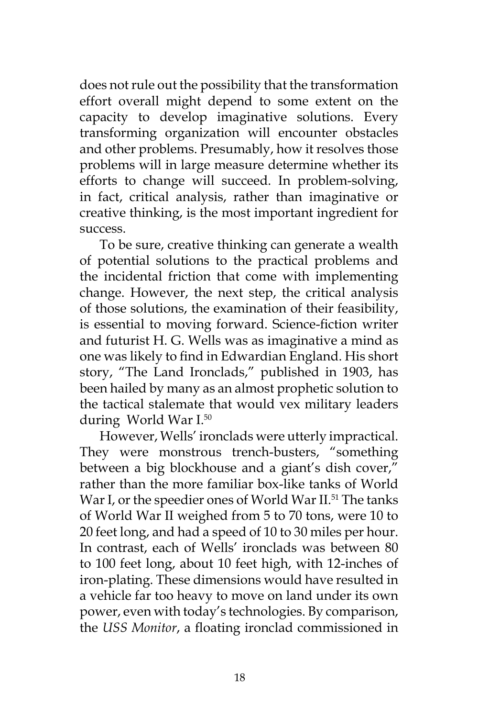does not rule out the possibility that the transformation effort overall might depend to some extent on the capacity to develop imaginative solutions. Every transforming organization will encounter obstacles and other problems. Presumably, how it resolves those problems will in large measure determine whether its efforts to change will succeed. In problem-solving, in fact, critical analysis, rather than imaginative or creative thinking, is the most important ingredient for success.

To be sure, creative thinking can generate a wealth of potential solutions to the practical problems and the incidental friction that come with implementing change. However, the next step, the critical analysis of those solutions, the examination of their feasibility, is essential to moving forward. Science-fiction writer and futurist H. G. Wells was as imaginative a mind as one was likely to find in Edwardian England. His short story, "The Land Ironclads," published in 1903, has been hailed by many as an almost prophetic solution to the tactical stalemate that would vex military leaders during World War I.50

However, Wells' ironclads were utterly impractical. They were monstrous trench-busters, "something between a big blockhouse and a giant's dish cover," rather than the more familiar box-like tanks of World War I, or the speedier ones of World War II.<sup>51</sup> The tanks of World War II weighed from 5 to 70 tons, were 10 to 20 feet long, and had a speed of 10 to 30 miles per hour. In contrast, each of Wells' ironclads was between 80 to 100 feet long, about 10 feet high, with 12-inches of iron-plating. These dimensions would have resulted in a vehicle far too heavy to move on land under its own power, even with today's technologies. By comparison, the *USS Monitor*, a floating ironclad commissioned in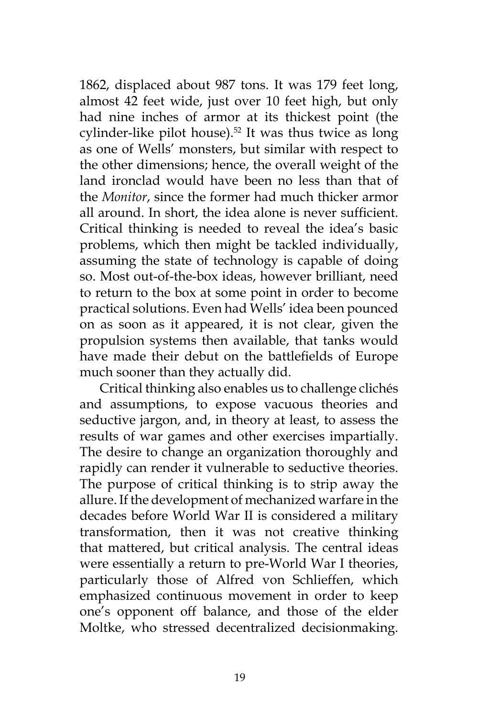1862, displaced about 987 tons. It was 179 feet long, almost 42 feet wide, just over 10 feet high, but only had nine inches of armor at its thickest point (the cylinder-like pilot house).<sup>52</sup> It was thus twice as long as one of Wells' monsters, but similar with respect to the other dimensions; hence, the overall weight of the land ironclad would have been no less than that of the *Monitor*, since the former had much thicker armor all around. In short, the idea alone is never sufficient. Critical thinking is needed to reveal the idea's basic problems, which then might be tackled individually, assuming the state of technology is capable of doing so. Most out-of-the-box ideas, however brilliant, need to return to the box at some point in order to become practical solutions. Even had Wells' idea been pounced on as soon as it appeared, it is not clear, given the propulsion systems then available, that tanks would have made their debut on the battlefields of Europe much sooner than they actually did.

Critical thinking also enables us to challenge clichés and assumptions, to expose vacuous theories and seductive jargon, and, in theory at least, to assess the results of war games and other exercises impartially. The desire to change an organization thoroughly and rapidly can render it vulnerable to seductive theories. The purpose of critical thinking is to strip away the allure. If the development of mechanized warfare in the decades before World War II is considered a military transformation, then it was not creative thinking that mattered, but critical analysis. The central ideas were essentially a return to pre-World War I theories, particularly those of Alfred von Schlieffen, which emphasized continuous movement in order to keep one's opponent off balance, and those of the elder Moltke, who stressed decentralized decisionmaking.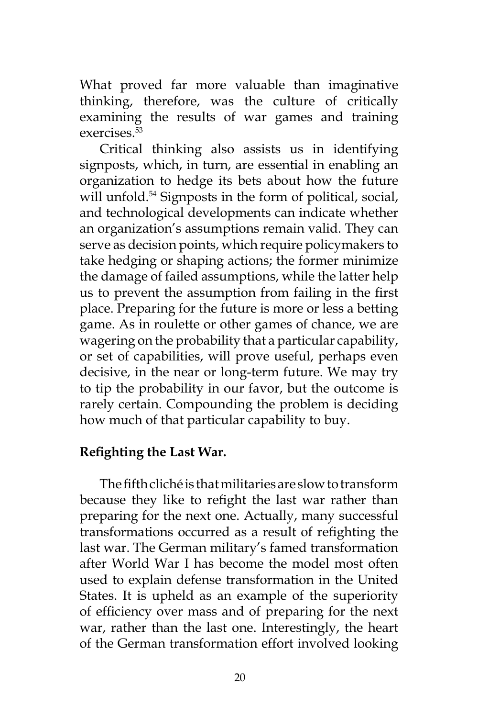What proved far more valuable than imaginative thinking, therefore, was the culture of critically examining the results of war games and training exercises.53

Critical thinking also assists us in identifying signposts, which, in turn, are essential in enabling an organization to hedge its bets about how the future will unfold.<sup>54</sup> Signposts in the form of political, social, and technological developments can indicate whether an organization's assumptions remain valid. They can serve as decision points, which require policymakers to take hedging or shaping actions; the former minimize the damage of failed assumptions, while the latter help us to prevent the assumption from failing in the first place. Preparing for the future is more or less a betting game. As in roulette or other games of chance, we are wagering on the probability that a particular capability, or set of capabilities, will prove useful, perhaps even decisive, in the near or long-term future. We may try to tip the probability in our favor, but the outcome is rarely certain. Compounding the problem is deciding how much of that particular capability to buy.

## **Refighting the Last War.**

The fifth cliché is that militaries are slow to transform because they like to refight the last war rather than preparing for the next one. Actually, many successful transformations occurred as a result of refighting the last war. The German military's famed transformation after World War I has become the model most often used to explain defense transformation in the United States. It is upheld as an example of the superiority of efficiency over mass and of preparing for the next war, rather than the last one. Interestingly, the heart of the German transformation effort involved looking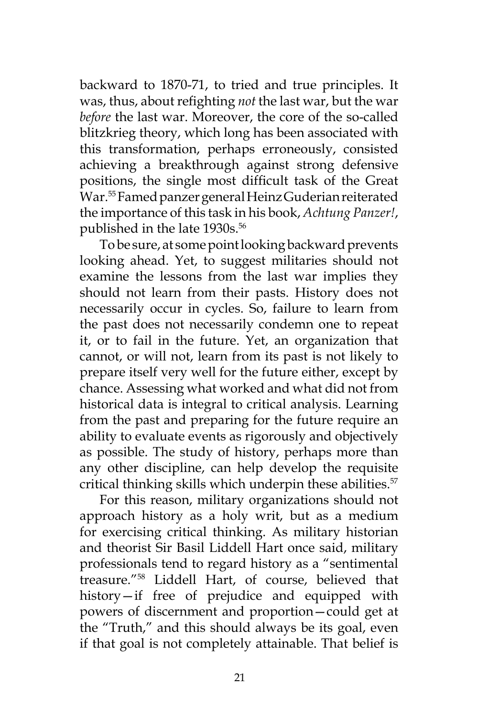backward to 1870-71, to tried and true principles. It was, thus, about refighting *not* the last war, but the war *before* the last war. Moreover, the core of the so-called blitzkrieg theory, which long has been associated with this transformation, perhaps erroneously, consisted achieving a breakthrough against strong defensive positions, the single most difficult task of the Great War.55 Famed panzer general Heinz Guderian reiterated the importance of this task in his book, *Achtung Panzer!*, published in the late 1930s.<sup>56</sup>

To be sure, at some point looking backward prevents looking ahead. Yet, to suggest militaries should not examine the lessons from the last war implies they should not learn from their pasts. History does not necessarily occur in cycles. So, failure to learn from the past does not necessarily condemn one to repeat it, or to fail in the future. Yet, an organization that cannot, or will not, learn from its past is not likely to prepare itself very well for the future either, except by chance. Assessing what worked and what did not from historical data is integral to critical analysis. Learning from the past and preparing for the future require an ability to evaluate events as rigorously and objectively as possible. The study of history, perhaps more than any other discipline, can help develop the requisite critical thinking skills which underpin these abilities.<sup>57</sup>

For this reason, military organizations should not approach history as a holy writ, but as a medium for exercising critical thinking. As military historian and theorist Sir Basil Liddell Hart once said, military professionals tend to regard history as a "sentimental treasure."58 Liddell Hart, of course, believed that history—if free of prejudice and equipped with powers of discernment and proportion—could get at the "Truth," and this should always be its goal, even if that goal is not completely attainable. That belief is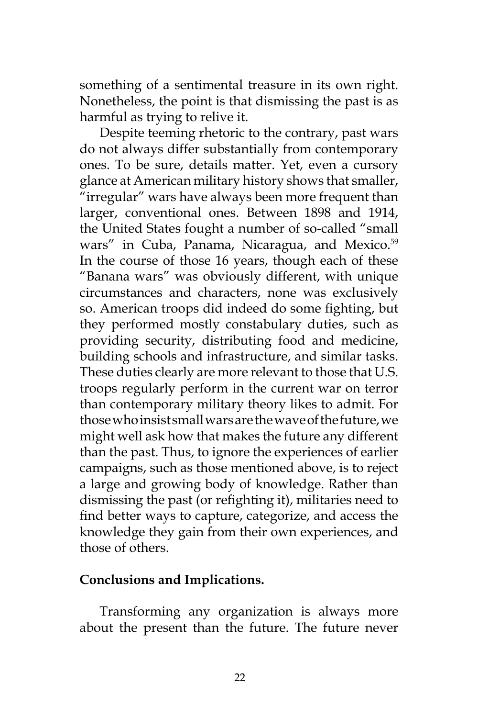something of a sentimental treasure in its own right. Nonetheless, the point is that dismissing the past is as harmful as trying to relive it.

Despite teeming rhetoric to the contrary, past wars do not always differ substantially from contemporary ones. To be sure, details matter. Yet, even a cursory glance at American military history shows that smaller, "irregular" wars have always been more frequent than larger, conventional ones. Between 1898 and 1914, the United States fought a number of so-called "small wars" in Cuba, Panama, Nicaragua, and Mexico.<sup>59</sup> In the course of those 16 years, though each of these "Banana wars" was obviously different, with unique circumstances and characters, none was exclusively so. American troops did indeed do some fighting, but they performed mostly constabulary duties, such as providing security, distributing food and medicine, building schools and infrastructure, and similar tasks. These duties clearly are more relevant to those that U.S. troops regularly perform in the current war on terror than contemporary military theory likes to admit. For those who insist small wars are the wave of the future, we might well ask how that makes the future any different than the past. Thus, to ignore the experiences of earlier campaigns, such as those mentioned above, is to reject a large and growing body of knowledge. Rather than dismissing the past (or refighting it), militaries need to find better ways to capture, categorize, and access the knowledge they gain from their own experiences, and those of others.

## **Conclusions and Implications.**

Transforming any organization is always more about the present than the future. The future never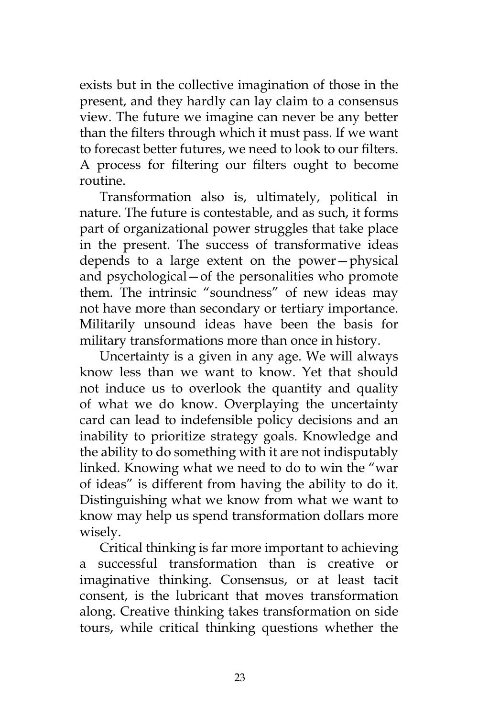exists but in the collective imagination of those in the present, and they hardly can lay claim to a consensus view. The future we imagine can never be any better than the filters through which it must pass. If we want to forecast better futures, we need to look to our filters. A process for filtering our filters ought to become routine.

Transformation also is, ultimately, political in nature. The future is contestable, and as such, it forms part of organizational power struggles that take place in the present. The success of transformative ideas depends to a large extent on the power—physical and psychological—of the personalities who promote them. The intrinsic "soundness" of new ideas may not have more than secondary or tertiary importance. Militarily unsound ideas have been the basis for military transformations more than once in history.

Uncertainty is a given in any age. We will always know less than we want to know. Yet that should not induce us to overlook the quantity and quality of what we do know. Overplaying the uncertainty card can lead to indefensible policy decisions and an inability to prioritize strategy goals. Knowledge and the ability to do something with it are not indisputably linked. Knowing what we need to do to win the "war of ideas" is different from having the ability to do it. Distinguishing what we know from what we want to know may help us spend transformation dollars more wisely.

Critical thinking is far more important to achieving a successful transformation than is creative or imaginative thinking. Consensus, or at least tacit consent, is the lubricant that moves transformation along. Creative thinking takes transformation on side tours, while critical thinking questions whether the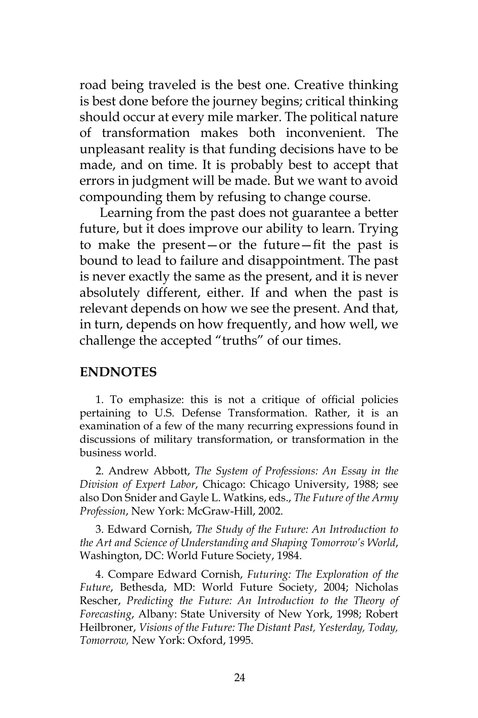road being traveled is the best one. Creative thinking is best done before the journey begins; critical thinking should occur at every mile marker. The political nature of transformation makes both inconvenient. The unpleasant reality is that funding decisions have to be made, and on time. It is probably best to accept that errors in judgment will be made. But we want to avoid compounding them by refusing to change course.

Learning from the past does not guarantee a better future, but it does improve our ability to learn. Trying to make the present—or the future—fit the past is bound to lead to failure and disappointment. The past is never exactly the same as the present, and it is never absolutely different, either. If and when the past is relevant depends on how we see the present. And that, in turn, depends on how frequently, and how well, we challenge the accepted "truths" of our times.

#### **ENDNOTES**

1. To emphasize: this is not a critique of official policies pertaining to U.S. Defense Transformation. Rather, it is an examination of a few of the many recurring expressions found in discussions of military transformation, or transformation in the business world.

2. Andrew Abbott, *The System of Professions: An Essay in the Division of Expert Labor*, Chicago: Chicago University, 1988; see also Don Snider and Gayle L. Watkins, eds., *The Future of the Army Profession*, New York: McGraw-Hill, 2002.

3. Edward Cornish, *The Study of the Future: An Introduction to the Art and Science of Understanding and Shaping Tomorrow's World*, Washington, DC: World Future Society, 1984.

4. Compare Edward Cornish, *Futuring: The Exploration of the Future*, Bethesda, MD: World Future Society, 2004; Nicholas Rescher, *Predicting the Future: An Introduction to the Theory of Forecasting*, Albany: State University of New York, 1998; Robert Heilbroner, *Visions of the Future: The Distant Past, Yesterday, Today, Tomorrow,* New York: Oxford, 1995.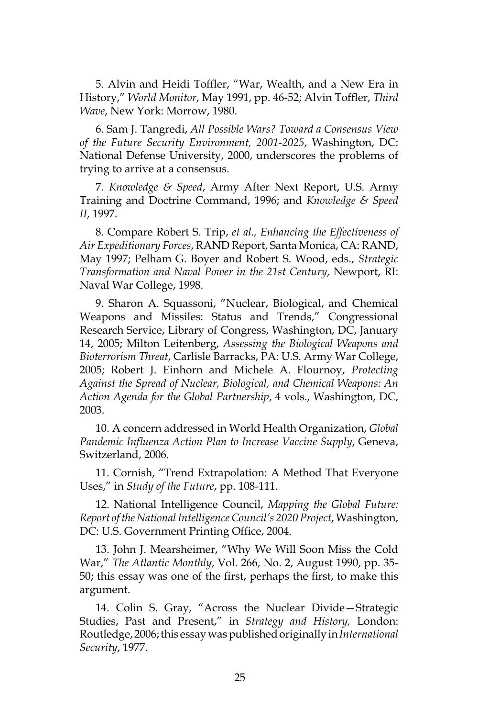5. Alvin and Heidi Toffler, "War, Wealth, and a New Era in History," *World Monitor*, May 1991, pp. 46-52; Alvin Toffler, *Third Wave*, New York: Morrow, 1980.

6. Sam J. Tangredi, *All Possible Wars? Toward a Consensus View of the Future Security Environment, 2001-2025*, Washington, DC: National Defense University, 2000, underscores the problems of trying to arrive at a consensus.

7. *Knowledge & Speed*, Army After Next Report, U.S. Army Training and Doctrine Command, 1996; and *Knowledge & Speed II*, 1997.

8. Compare Robert S. Trip, *et al., Enhancing the Effectiveness of Air Expeditionary Forces*, RAND Report, Santa Monica, CA: RAND, May 1997; Pelham G. Boyer and Robert S. Wood, eds., *Strategic Transformation and Naval Power in the 21st Century*, Newport, RI: Naval War College, 1998.

9. Sharon A. Squassoni, "Nuclear, Biological, and Chemical Weapons and Missiles: Status and Trends," Congressional Research Service, Library of Congress, Washington, DC, January 14, 2005; Milton Leitenberg, *Assessing the Biological Weapons and Bioterrorism Threat*, Carlisle Barracks, PA: U.S. Army War College, 2005; Robert J. Einhorn and Michele A. Flournoy, *Protecting Against the Spread of Nuclear, Biological, and Chemical Weapons: An Action Agenda for the Global Partnership*, 4 vols., Washington, DC, 2003.

10. A concern addressed in World Health Organization, *Global Pandemic Influenza Action Plan to Increase Vaccine Supply*, Geneva, Switzerland, 2006.

11. Cornish, "Trend Extrapolation: A Method That Everyone Uses," in *Study of the Future*, pp. 108-111.

12. National Intelligence Council, *Mapping the Global Future: Report of the National Intelligence Council's 2020 Project*, Washington, DC: U.S. Government Printing Office, 2004.

13. John J. Mearsheimer, "Why We Will Soon Miss the Cold War," *The Atlantic Monthly*, Vol. 266, No. 2, August 1990, pp. 35- 50; this essay was one of the first, perhaps the first, to make this argument.

14. Colin S. Gray, "Across the Nuclear Divide—Strategic Studies, Past and Present," in *Strategy and History,* London: Routledge, 2006; this essay was published originally in *International Security*, 1977.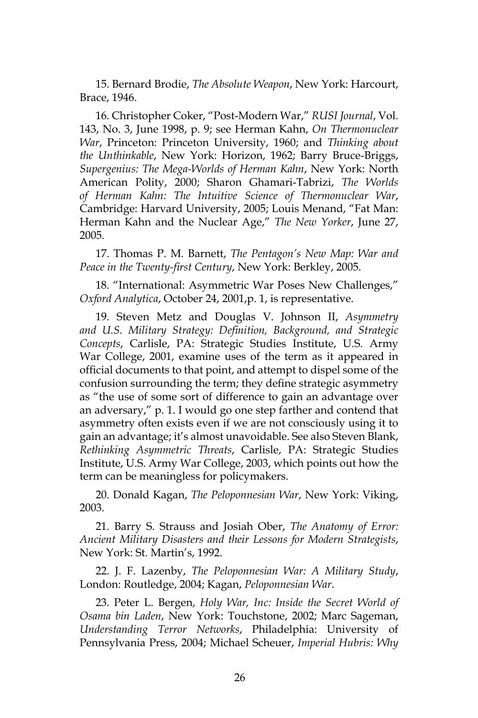15. Bernard Brodie, *The Absolute Weapon*, New York: Harcourt, Brace, 1946.

16. Christopher Coker, "Post-Modern War," *RUSI Journal*, Vol. 143, No. 3, June 1998, p. 9; see Herman Kahn, *On Thermonuclear War*, Princeton: Princeton University, 1960; and *Thinking about the Unthinkable*, New York: Horizon, 1962; Barry Bruce-Briggs, *Supergenius: The Mega-Worlds of Herman Kahn*, New York: North American Polity, 2000; Sharon Ghamari-Tabrizi, *The Worlds of Herman Kahn: The Intuitive Science of Thermonuclear War*, Cambridge: Harvard University, 2005; Louis Menand, "Fat Man: Herman Kahn and the Nuclear Age," *The New Yorker*, June 27, 2005.

17. Thomas P. M. Barnett, *The Pentagon's New Map: War and Peace in the Twenty-first Century*, New York: Berkley, 2005.

18. "International: Asymmetric War Poses New Challenges," *Oxford Analytica*, October 24, 2001,p. 1, is representative.

19. Steven Metz and Douglas V. Johnson II, *Asymmetry and U.S. Military Strategy: Definition, Background, and Strategic Concepts*, Carlisle, PA: Strategic Studies Institute, U.S. Army War College, 2001, examine uses of the term as it appeared in official documents to that point, and attempt to dispel some of the confusion surrounding the term; they define strategic asymmetry as "the use of some sort of difference to gain an advantage over an adversary," p. 1. I would go one step farther and contend that asymmetry often exists even if we are not consciously using it to gain an advantage; it's almost unavoidable. See also Steven Blank, *Rethinking Asymmetric Threats*, Carlisle, PA: Strategic Studies Institute, U.S. Army War College, 2003, which points out how the term can be meaningless for policymakers.

20. Donald Kagan, *The Peloponnesian War*, New York: Viking, 2003.

21. Barry S. Strauss and Josiah Ober, *The Anatomy of Error: Ancient Military Disasters and their Lessons for Modern Strategists*, New York: St. Martin's, 1992.

22. J. F. Lazenby, *The Peloponnesian War: A Military Study*, London: Routledge, 2004; Kagan, *Peloponnesian War*.

23. Peter L. Bergen, *Holy War, Inc: Inside the Secret World of Osama bin Laden*, New York: Touchstone, 2002; Marc Sageman, *Understanding Terror Networks*, Philadelphia: University of Pennsylvania Press, 2004; Michael Scheuer, *Imperial Hubris: Why*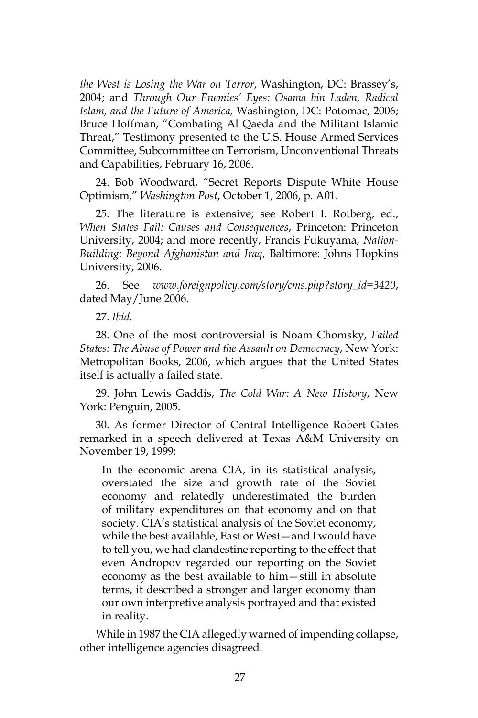*the West is Losing the War on Terror*, Washington, DC: Brassey's, 2004; and *Through Our Enemies' Eyes: Osama bin Laden, Radical Islam, and the Future of America,* Washington, DC: Potomac, 2006; Bruce Hoffman, "Combating Al Qaeda and the Militant Islamic Threat," Testimony presented to the U.S. House Armed Services Committee, Subcommittee on Terrorism, Unconventional Threats and Capabilities, February 16, 2006.

24. Bob Woodward, "Secret Reports Dispute White House Optimism," *Washington Post*, October 1, 2006, p. A01.

25. The literature is extensive; see Robert I. Rotberg, ed., *When States Fail: Causes and Consequences*, Princeton: Princeton University, 2004; and more recently, Francis Fukuyama, *Nation-Building: Beyond Afghanistan and Iraq*, Baltimore: Johns Hopkins University, 2006.

26. See *www.foreignpolicy.com/story/cms.php?story\_id=3420*, dated May/June 2006.

27. *Ibid*.

28. One of the most controversial is Noam Chomsky, *Failed States: The Abuse of Power and the Assault on Democracy*, New York: Metropolitan Books, 2006, which argues that the United States itself is actually a failed state.

29. John Lewis Gaddis, *The Cold War: A New History*, New York: Penguin, 2005.

30. As former Director of Central Intelligence Robert Gates remarked in a speech delivered at Texas A&M University on November 19, 1999:

In the economic arena CIA, in its statistical analysis, overstated the size and growth rate of the Soviet economy and relatedly underestimated the burden of military expenditures on that economy and on that society. CIA's statistical analysis of the Soviet economy, while the best available, East or West—and I would have to tell you, we had clandestine reporting to the effect that even Andropov regarded our reporting on the Soviet economy as the best available to him—still in absolute terms, it described a stronger and larger economy than our own interpretive analysis portrayed and that existed in reality.

While in 1987 the CIA allegedly warned of impending collapse, other intelligence agencies disagreed.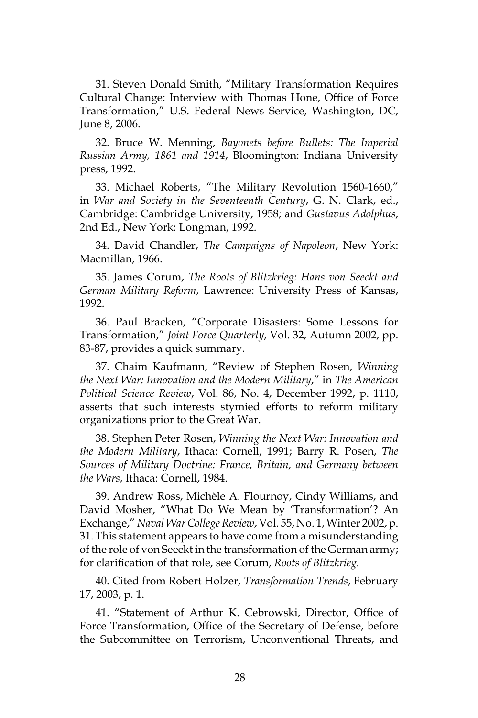31. Steven Donald Smith, "Military Transformation Requires Cultural Change: Interview with Thomas Hone, Office of Force Transformation," U.S. Federal News Service, Washington, DC, June 8, 2006.

32. Bruce W. Menning, *Bayonets before Bullets: The Imperial Russian Army, 1861 and 1914*, Bloomington: Indiana University press, 1992.

33. Michael Roberts, "The Military Revolution 1560-1660," in *War and Society in the Seventeenth Century*, G. N. Clark, ed., Cambridge: Cambridge University, 1958; and *Gustavus Adolphus*, 2nd Ed., New York: Longman, 1992.

34. David Chandler, *The Campaigns of Napoleon*, New York: Macmillan, 1966.

35. James Corum, *The Roots of Blitzkrieg: Hans von Seeckt and German Military Reform*, Lawrence: University Press of Kansas, 1992.

36. Paul Bracken, "Corporate Disasters: Some Lessons for Transformation," *Joint Force Quarterly*, Vol. 32, Autumn 2002, pp. 83-87, provides a quick summary.

37. Chaim Kaufmann, "Review of Stephen Rosen, *Winning the Next War: Innovation and the Modern Military*," in *The American Political Science Review*, Vol. 86, No. 4, December 1992, p. 1110, asserts that such interests stymied efforts to reform military organizations prior to the Great War.

38. Stephen Peter Rosen, *Winning the Next War: Innovation and the Modern Military*, Ithaca: Cornell, 1991; Barry R. Posen, *The Sources of Military Doctrine: France, Britain, and Germany between the Wars*, Ithaca: Cornell, 1984.

39. Andrew Ross, Michèle A. Flournoy, Cindy Williams, and David Mosher, "What Do We Mean by 'Transformation'? An Exchange," *Naval War College Review*, Vol. 55, No. 1, Winter 2002, p. 31. This statement appears to have come from a misunderstanding of the role of von Seeckt in the transformation of the German army; for clarification of that role, see Corum, *Roots of Blitzkrieg.*

40. Cited from Robert Holzer, *Transformation Trends*, February 17, 2003, p. 1.

41. "Statement of Arthur K. Cebrowski, Director, Office of Force Transformation, Office of the Secretary of Defense, before the Subcommittee on Terrorism, Unconventional Threats, and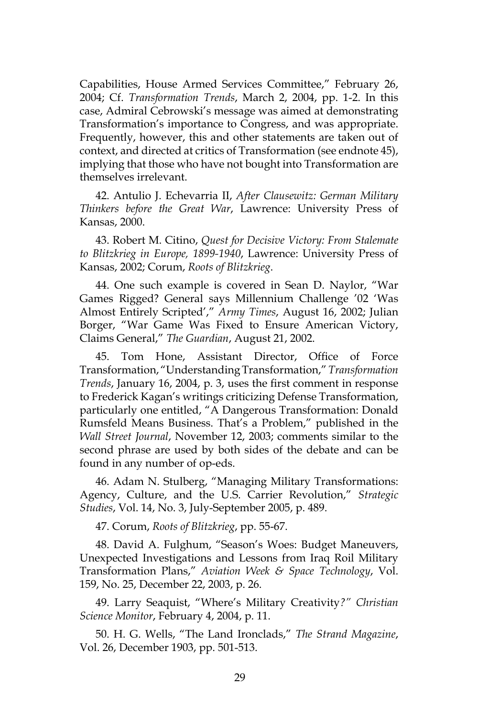Capabilities, House Armed Services Committee," February 26, 2004; Cf. *Transformation Trends*, March 2, 2004, pp. 1-2. In this case, Admiral Cebrowski's message was aimed at demonstrating Transformation's importance to Congress, and was appropriate. Frequently, however, this and other statements are taken out of context, and directed at critics of Transformation (see endnote 45), implying that those who have not bought into Transformation are themselves irrelevant.

42. Antulio J. Echevarria II, *After Clausewitz: German Military Thinkers before the Great War*, Lawrence: University Press of Kansas, 2000.

43. Robert M. Citino, *Quest for Decisive Victory: From Stalemate to Blitzkrieg in Europe, 1899-1940*, Lawrence: University Press of Kansas, 2002; Corum, *Roots of Blitzkrieg*.

44. One such example is covered in Sean D. Naylor, "War Games Rigged? General says Millennium Challenge '02 'Was Almost Entirely Scripted'," *Army Times*, August 16, 2002; Julian Borger, "War Game Was Fixed to Ensure American Victory, Claims General," *The Guardian*, August 21, 2002.

45. Tom Hone, Assistant Director, Office of Force Transformation, "Understanding Transformation," *Transformation Trends*, January 16, 2004, p. 3, uses the first comment in response to Frederick Kagan's writings criticizing Defense Transformation, particularly one entitled, "A Dangerous Transformation: Donald Rumsfeld Means Business. That's a Problem," published in the *Wall Street Journal*, November 12, 2003; comments similar to the second phrase are used by both sides of the debate and can be found in any number of op-eds.

46. Adam N. Stulberg, "Managing Military Transformations: Agency, Culture, and the U.S. Carrier Revolution," *Strategic Studies*, Vol. 14, No. 3, July-September 2005, p. 489.

47. Corum, *Roots of Blitzkrieg*, pp. 55-67.

48. David A. Fulghum, "Season's Woes: Budget Maneuvers, Unexpected Investigations and Lessons from Iraq Roil Military Transformation Plans," *Aviation Week & Space Technology*, Vol. 159, No. 25, December 22, 2003, p. 26.

49. Larry Seaquist, "Where's Military Creativity*?" Christian Science Monitor*, February 4, 2004, p. 11.

50. H. G. Wells, "The Land Ironclads," *The Strand Magazine*, Vol. 26, December 1903, pp. 501-513.